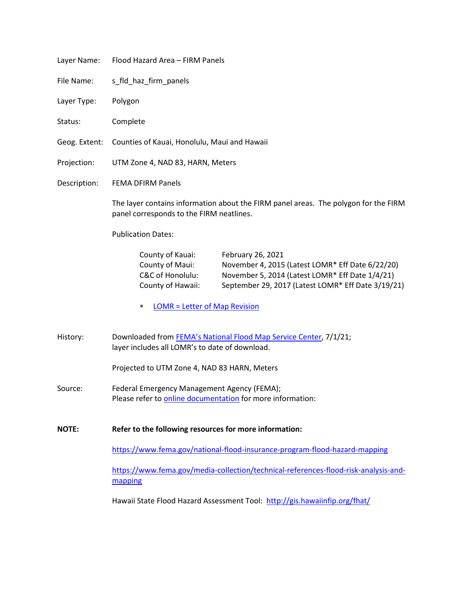| Layer Name:   | Flood Hazard Area - FIRM Panels                                                                                                                                                                                                                                |
|---------------|----------------------------------------------------------------------------------------------------------------------------------------------------------------------------------------------------------------------------------------------------------------|
| File Name:    | s_fld_haz_firm_panels                                                                                                                                                                                                                                          |
| Layer Type:   | Polygon                                                                                                                                                                                                                                                        |
| Status:       | Complete                                                                                                                                                                                                                                                       |
| Geog. Extent: | Counties of Kauai, Honolulu, Maui and Hawaii                                                                                                                                                                                                                   |
| Projection:   | UTM Zone 4, NAD 83, HARN, Meters                                                                                                                                                                                                                               |
| Description:  | <b>FEMA DFIRM Panels</b>                                                                                                                                                                                                                                       |
|               | The layer contains information about the FIRM panel areas. The polygon for the FIRM<br>panel corresponds to the FIRM neatlines.                                                                                                                                |
|               | <b>Publication Dates:</b>                                                                                                                                                                                                                                      |
|               | County of Kauai:<br>February 26, 2021<br>County of Maui:<br>November 4, 2015 (Latest LOMR* Eff Date 6/22/20)<br>C&C of Honolulu:<br>November 5, 2014 (Latest LOMR* Eff Date 1/4/21)<br>September 29, 2017 (Latest LOMR* Eff Date 3/19/21)<br>County of Hawaii: |
|               | <b>LOMR = Letter of Map Revision</b><br>$\ast$                                                                                                                                                                                                                 |
| History:      | Downloaded from FEMA's National Flood Map Service Center, 7/1/21;<br>layer includes all LOMR's to date of download.                                                                                                                                            |
|               | Projected to UTM Zone 4, NAD 83 HARN, Meters                                                                                                                                                                                                                   |
| Source:       | Federal Emergency Management Agency (FEMA);<br>Please refer to online documentation for more information:                                                                                                                                                      |
| <b>NOTE:</b>  | Refer to the following resources for more information:                                                                                                                                                                                                         |
|               | https://www.fema.gov/national-flood-insurance-program-flood-hazard-mapping                                                                                                                                                                                     |
|               | https://www.fema.gov/media-collection/technical-references-flood-risk-analysis-and-<br>mapping                                                                                                                                                                 |
|               | Hawaii State Flood Hazard Assessment Tool: http://gis.hawaiinfip.org/fhat/                                                                                                                                                                                     |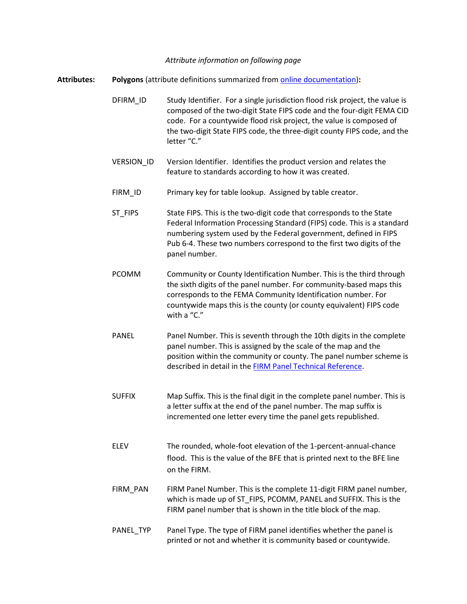*Attribute information on following page*

**Attributes: Polygons** (attribute definitions summarized from [online documentation\)](https://www.fema.gov/sites/default/files/documents/fema_firm-database-technical-reference.pdf)**:**

DFIRM\_ID Study Identifier. For a single jurisdiction flood risk project, the value is composed of the two-digit State FIPS code and the four-digit FEMA CID code. For a countywide flood risk project, the value is composed of the two-digit State FIPS code, the three-digit county FIPS code, and the letter "C."

- VERSION\_ID Version Identifier. Identifies the product version and relates the feature to standards according to how it was created.
- FIRM\_ID Primary key for table lookup. Assigned by table creator.

ST FIPS State FIPS. This is the two-digit code that corresponds to the State Federal Information Processing Standard (FIPS) code. This is a standard numbering system used by the Federal government, defined in FIPS Pub 6-4. These two numbers correspond to the first two digits of the panel number.

- PCOMM Community or County Identification Number. This is the third through the sixth digits of the panel number. For community-based maps this corresponds to the FEMA Community Identification number. For countywide maps this is the county (or county equivalent) FIPS code with a "C."
- PANEL Panel Number. This is seventh through the 10th digits in the complete panel number. This is assigned by the scale of the map and the position within the community or county. The panel number scheme is described in detail in the [FIRM Panel Technical Reference.](https://www.fema.gov/sites/default/files/documents/fema_firm-panel-technical-reference.pdf)
- SUFFIX Map Suffix. This is the final digit in the complete panel number. This is a letter suffix at the end of the panel number. The map suffix is incremented one letter every time the panel gets republished.
- ELEV The rounded, whole-foot elevation of the 1-percent-annual-chance flood. This is the value of the BFE that is printed next to the BFE line on the FIRM.
- FIRM\_PAN FIRM Panel Number. This is the complete 11-digit FIRM panel number, which is made up of ST\_FIPS, PCOMM, PANEL and SUFFIX. This is the FIRM panel number that is shown in the title block of the map.
- PANEL\_TYP Panel Type. The type of FIRM panel identifies whether the panel is printed or not and whether it is community based or countywide.